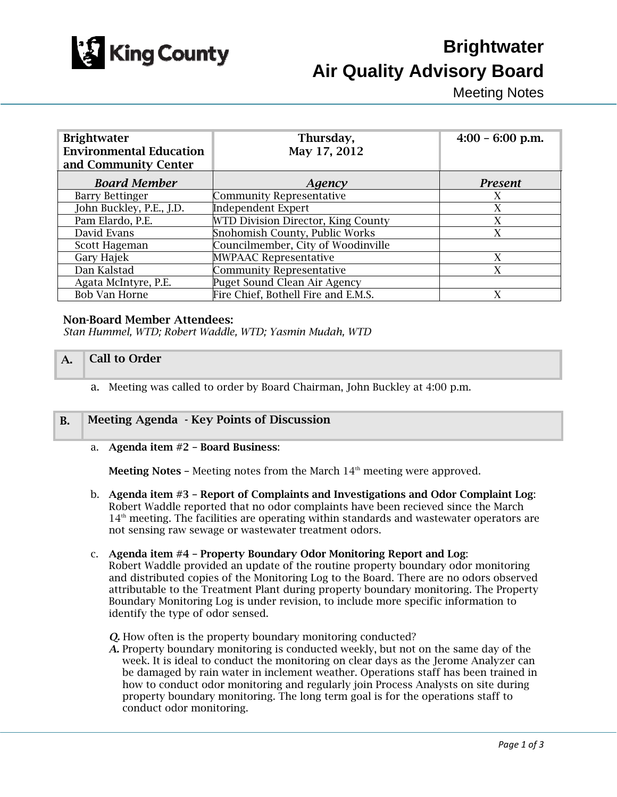

# **Brightwater Air Quality Advisory Board**

Meeting Notes

| <b>Brightwater</b><br><b>Environmental Education</b><br>and Community Center | Thursday,<br>May 17, 2012           | $4:00 - 6:00$ p.m. |
|------------------------------------------------------------------------------|-------------------------------------|--------------------|
| <b>Board Member</b>                                                          | Agency                              | <b>Present</b>     |
| <b>Barry Bettinger</b>                                                       | <b>Community Representative</b>     | X                  |
| John Buckley, P.E., J.D.                                                     | <b>Independent Expert</b>           | X                  |
| Pam Elardo, P.E.                                                             | WTD Division Director, King County  | X                  |
| David Evans                                                                  | Snohomish County, Public Works      | X                  |
| Scott Hageman                                                                | Councilmember, City of Woodinville  |                    |
| Gary Hajek                                                                   | <b>MWPAAC Representative</b>        | X                  |
| Dan Kalstad                                                                  | <b>Community Representative</b>     | X                  |
| Agata McIntyre, P.E.                                                         | Puget Sound Clean Air Agency        |                    |
| <b>Bob Van Horne</b>                                                         | Fire Chief, Bothell Fire and E.M.S. | X                  |

## Non-Board Member Attendees:

*Stan Hummel, WTD; Robert Waddle, WTD; Yasmin Mudah, WTD* 

## $A.$  Call to Order

a. Meeting was called to order by Board Chairman, John Buckley at 4:00 p.m.

# B. Meeting Agenda - Key Points of Discussion

#### a. Agenda item #2 – Board Business:

**Meeting Notes –** Meeting notes from the March  $14<sup>th</sup>$  meeting were approved.

b. Agenda item #3 – Report of Complaints and Investigations and Odor Complaint Log: Robert Waddle reported that no odor complaints have been recieved since the March  $14<sup>th</sup>$  meeting. The facilities are operating within standards and wastewater operators are not sensing raw sewage or wastewater treatment odors.

## c. Agenda item #4 – Property Boundary Odor Monitoring Report and Log:

Robert Waddle provided an update of the routine property boundary odor monitoring and distributed copies of the Monitoring Log to the Board. There are no odors observed attributable to the Treatment Plant during property boundary monitoring. The Property Boundary Monitoring Log is under revision, to include more specific information to identify the type of odor sensed.

*Q.* How often is the property boundary monitoring conducted?

*A.* Property boundary monitoring is conducted weekly, but not on the same day of the week. It is ideal to conduct the monitoring on clear days as the Jerome Analyzer can be damaged by rain water in inclement weather. Operations staff has been trained in how to conduct odor monitoring and regularly join Process Analysts on site during property boundary monitoring. The long term goal is for the operations staff to conduct odor monitoring.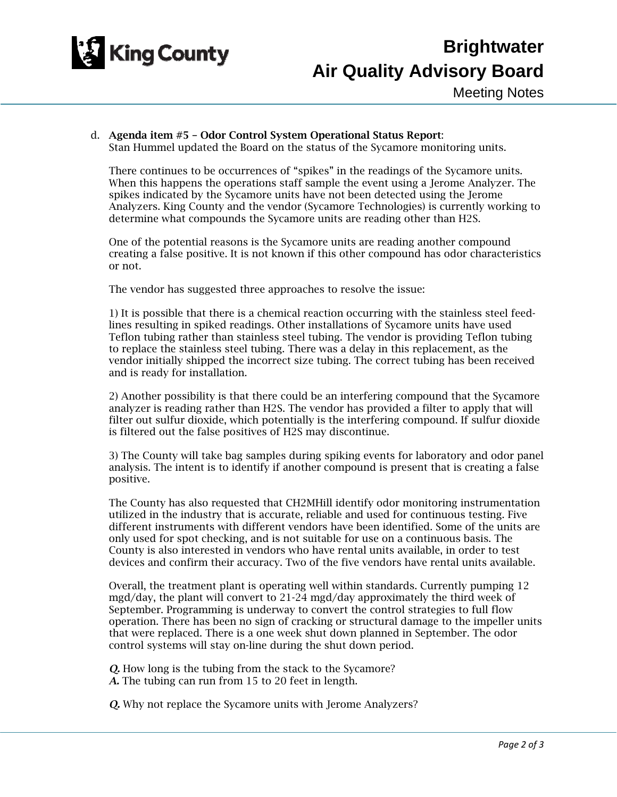

# d. Agenda item #5 – Odor Control System Operational Status Report:

Stan Hummel updated the Board on the status of the Sycamore monitoring units.

There continues to be occurrences of "spikes" in the readings of the Sycamore units. When this happens the operations staff sample the event using a Jerome Analyzer. The spikes indicated by the Sycamore units have not been detected using the Jerome Analyzers. King County and the vendor (Sycamore Technologies) is currently working to determine what compounds the Sycamore units are reading other than H2S.

One of the potential reasons is the Sycamore units are reading another compound creating a false positive. It is not known if this other compound has odor characteristics or not.

The vendor has suggested three approaches to resolve the issue:

1) It is possible that there is a chemical reaction occurring with the stainless steel feedlines resulting in spiked readings. Other installations of Sycamore units have used Teflon tubing rather than stainless steel tubing. The vendor is providing Teflon tubing to replace the stainless steel tubing. There was a delay in this replacement, as the vendor initially shipped the incorrect size tubing. The correct tubing has been received and is ready for installation.

2) Another possibility is that there could be an interfering compound that the Sycamore analyzer is reading rather than H2S. The vendor has provided a filter to apply that will filter out sulfur dioxide, which potentially is the interfering compound. If sulfur dioxide is filtered out the false positives of H2S may discontinue.

3) The County will take bag samples during spiking events for laboratory and odor panel analysis. The intent is to identify if another compound is present that is creating a false positive.

The County has also requested that CH2MHill identify odor monitoring instrumentation utilized in the industry that is accurate, reliable and used for continuous testing. Five different instruments with different vendors have been identified. Some of the units are only used for spot checking, and is not suitable for use on a continuous basis. The County is also interested in vendors who have rental units available, in order to test devices and confirm their accuracy. Two of the five vendors have rental units available.

Overall, the treatment plant is operating well within standards. Currently pumping 12 mgd/day, the plant will convert to 21-24 mgd/day approximately the third week of September. Programming is underway to convert the control strategies to full flow operation. There has been no sign of cracking or structural damage to the impeller units that were replaced. There is a one week shut down planned in September. The odor control systems will stay on-line during the shut down period.

*Q.* How long is the tubing from the stack to the Sycamore? *A.* The tubing can run from 15 to 20 feet in length.

*Q.* Why not replace the Sycamore units with Jerome Analyzers?